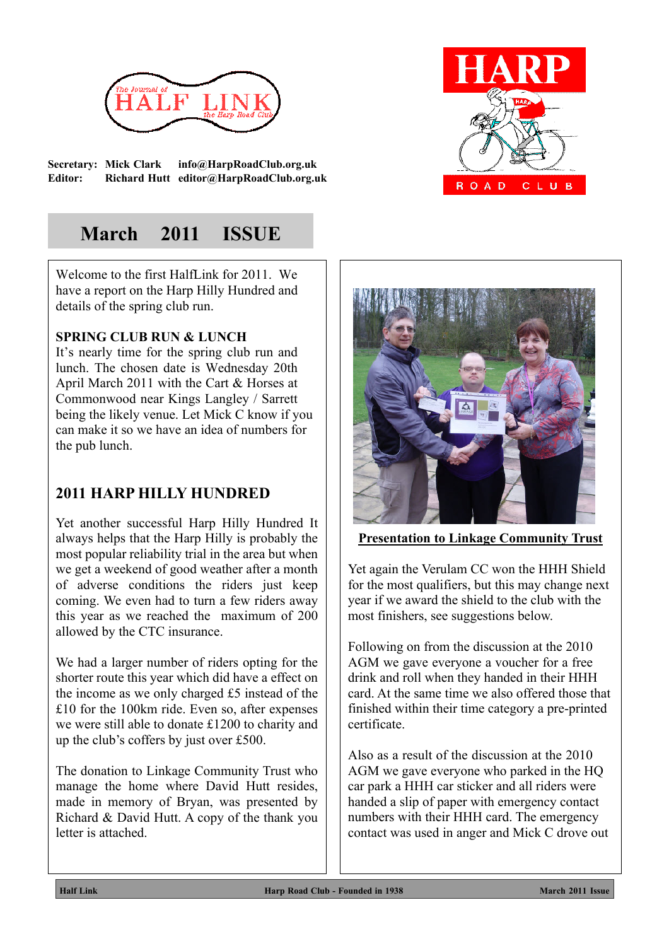

**Secretary: Mick Clark info@HarpRoadClub.org.uk Editor: Richard Hutt editor@HarpRoadClub.org.uk**



## **March 2011 ISSUE**

Welcome to the first HalfLink for 2011. We have a report on the Harp Hilly Hundred and details of the spring club run.

## **SPRING CLUB RUN & LUNCH**

It's nearly time for the spring club run and lunch. The chosen date is Wednesday 20th April March 2011 with the Cart & Horses at Commonwood near Kings Langley / Sarrett being the likely venue. Let Mick C know if you can make it so we have an idea of numbers for the pub lunch.

## **2011 HARP HILLY HUNDRED**

Yet another successful Harp Hilly Hundred It always helps that the Harp Hilly is probably the most popular reliability trial in the area but when we get a weekend of good weather after a month of adverse conditions the riders just keep coming. We even had to turn a few riders away this year as we reached the maximum of 200 allowed by the CTC insurance.

We had a larger number of riders opting for the shorter route this year which did have a effect on the income as we only charged £5 instead of the £10 for the 100km ride. Even so, after expenses we were still able to donate £1200 to charity and up the club's coffers by just over £500.

The donation to Linkage Community Trust who manage the home where David Hutt resides, made in memory of Bryan, was presented by Richard & David Hutt. A copy of the thank you letter is attached.



**Presentation to Linkage Community Trust**

Yet again the Verulam CC won the HHH Shield for the most qualifiers, but this may change next year if we award the shield to the club with the most finishers, see suggestions below.

Following on from the discussion at the 2010 AGM we gave everyone a voucher for a free drink and roll when they handed in their HHH card. At the same time we also offered those that finished within their time category a pre-printed certificate.

Also as a result of the discussion at the 2010 AGM we gave everyone who parked in the HQ car park a HHH car sticker and all riders were handed a slip of paper with emergency contact numbers with their HHH card. The emergency contact was used in anger and Mick C drove out